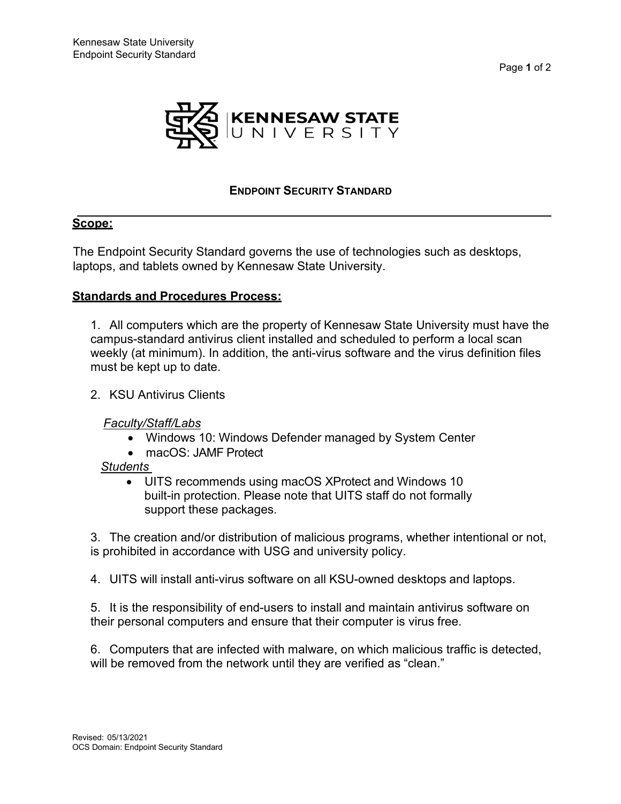



## **ENDPOINT SECURITY STANDARD**

## **Scope:**

The Endpoint Security Standard governs the use of technologies such as desktops, laptops, and tablets owned by Kennesaw State University.

#### **Standards and Procedures Process:**

1. All computers which are the property of Kennesaw State University must have the campus-standard antivirus client installed and scheduled to perform a local scan weekly (at minimum). In addition, the anti-virus software and the virus definition files must be kept up to date.

#### 2. KSU Antivirus Clients

#### *Faculty/Staff/Labs*

- Windows 10: Windows Defender managed by System Center
- macOS: JAMF Protect

#### *Students*

• UITS recommends using macOS XProtect and Windows 10 built-in protection. Please note that UITS staff do not formally support these packages.

3. The creation and/or distribution of malicious programs, whether intentional or not, is prohibited in accordance with USG and university policy.

4. UITS will install anti-virus software on all KSU-owned desktops and laptops.

5. It is the responsibility of end-users to install and maintain antivirus software on their personal computers and ensure that their computer is virus free.

6. Computers that are infected with malware, on which malicious traffic is detected, will be removed from the network until they are verified as "clean."